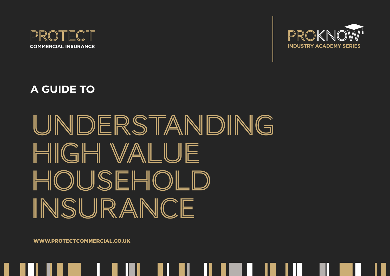



### **A GUIDE TO**

# UNDERSTANDING HIGH VALUE Household INSURANCE

WWW.PROTECTCOMMERCIAL.CO.UK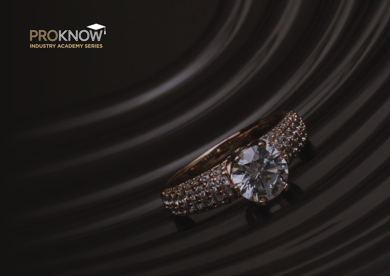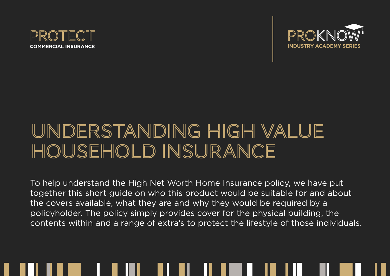



## Understanding High Value Household Insurance

To help understand the High Net Worth Home Insurance policy, we have put together this short guide on who this product would be suitable for and about the covers available, what they are and why they would be required by a policyholder. The policy simply provides cover for the physical building, the contents within and a range of extra's to protect the lifestyle of those individuals.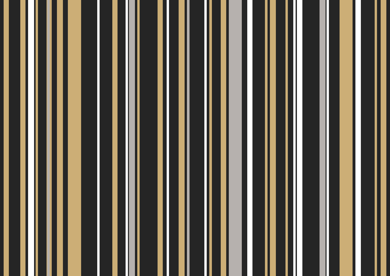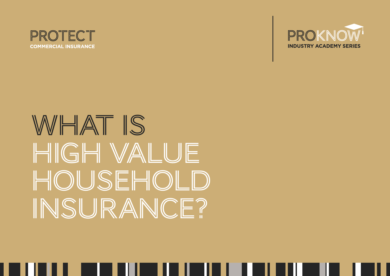



# WHAT IS HIGH VALUE Household INSURANCE?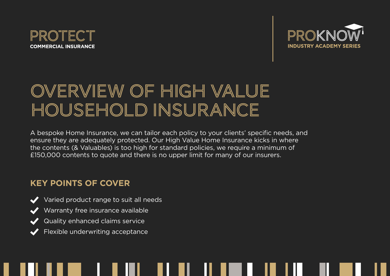



### OVERVIEW OF High Value Household Insurance

A bespoke Home Insurance, we can tailor each policy to your clients' specific needs, and ensure they are adequately protected. Our High Value Home Insurance kicks in where the contents (& Valuables) is too high for standard policies, we require a minimum of £150,000 contents to quote and there is no upper limit for many of our insurers.

#### **KEY POINTS OF COVER**

- Varied product range to suit all needs
- Warranty free insurance available
- Quality enhanced claims service
- Flexible underwriting acceptance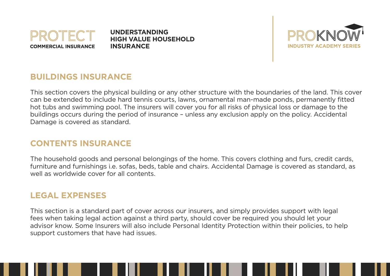

**UNDERSTANDING HIGH VALUE HOUSEHOLD INSURANCE**



#### **BUILDINGS INSURANCE**

This section covers the physical building or any other structure with the boundaries of the land. This cover can be extended to include hard tennis courts, lawns, ornamental man-made ponds, permanently fitted hot tubs and swimming pool. The insurers will cover you for all risks of physical loss or damage to the buildings occurs during the period of insurance – unless any exclusion apply on the policy. Accidental Damage is covered as standard.

#### **CONTENTS INSURANCE**

The household goods and personal belongings of the home. This covers clothing and furs, credit cards, furniture and furnishings i.e. sofas, beds, table and chairs. Accidental Damage is covered as standard, as well as worldwide cover for all contents.

#### **LEGAL EXPENSES**

This section is a standard part of cover across our insurers, and simply provides support with legal fees when taking legal action against a third party, should cover be required you should let your advisor know. Some Insurers will also include Personal Identity Protection within their policies, to help support customers that have had issues.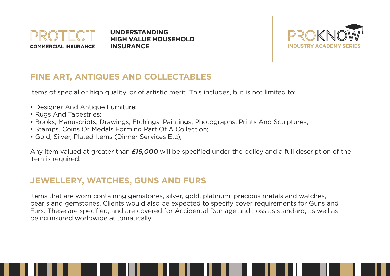

**UNDERSTANDING HIGH VALUE HOUSEHOLD INSURANCE**



#### **FINE ART, ANTIQUES AND COLLECTABLES**

Items of special or high quality, or of artistic merit. This includes, but is not limited to:

- Designer And Antique Furniture;
- Rugs And Tapestries;
- Books, Manuscripts, Drawings, Etchings, Paintings, Photographs, Prints And Sculptures;
- Stamps, Coins Or Medals Forming Part Of A Collection;
- Gold, Silver, Plated Items (Dinner Services Etc);

Any item valued at greater than *£15,000* will be specified under the policy and a full description of the item is required.

#### **JEWELLERY, WATCHES, GUNS AND FURS**

Items that are worn containing gemstones, silver, gold, platinum, precious metals and watches, pearls and gemstones. Clients would also be expected to specify cover requirements for Guns and Furs. These are specified, and are covered for Accidental Damage and Loss as standard, as well as being insured worldwide automatically.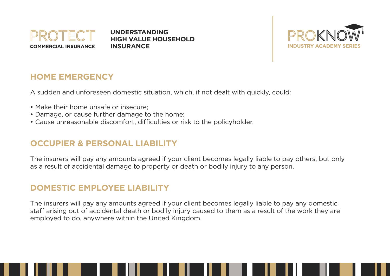

**UNDERSTANDING HIGH VALUE HOUSEHOLD INSURANCE**



#### **HOME EMERGENCY**

A sudden and unforeseen domestic situation, which, if not dealt with quickly, could:

- Make their home unsafe or insecure;
- Damage, or cause further damage to the home;
- Cause unreasonable discomfort, difficulties or risk to the policyholder.

#### **OCCUPIER & PERSONAL LIABILITY**

The insurers will pay any amounts agreed if your client becomes legally liable to pay others, but only as a result of accidental damage to property or death or bodily injury to any person.

#### **DOMESTIC EMPLOYEE LIABILITY**

The insurers will pay any amounts agreed if your client becomes legally liable to pay any domestic staff arising out of accidental death or bodily injury caused to them as a result of the work they are employed to do, anywhere within the United Kingdom.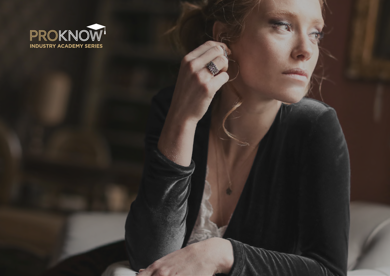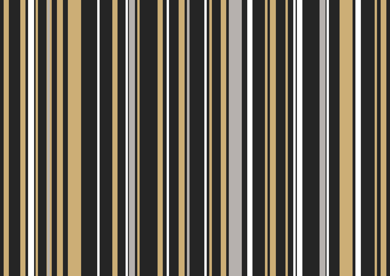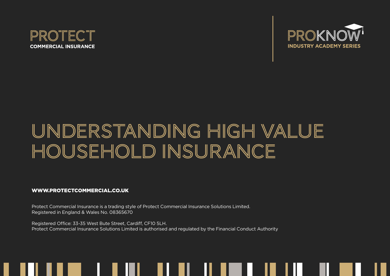



## Understanding high value household Insurance

#### WWW.PROTECTCOMMERCIAL.CO.UK

Protect Commercial Insurance is a trading style of Protect Commercial Insurance Solutions Limited. Registered in England & Wales No. 08365670

Registered Office: 33-35 West Bute Street, Cardiff, CF10 5LH. Protect Commercial Insurance Solutions Limited is authorised and regulated by the Financial Conduct Authority